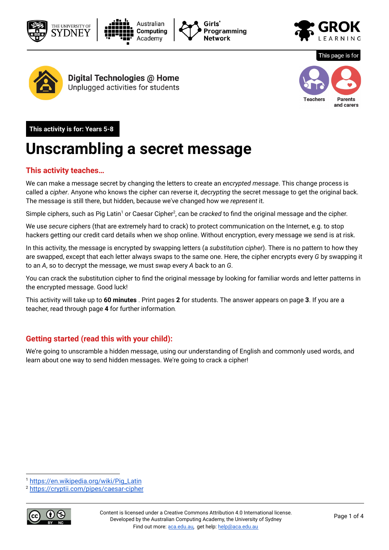









Digital Technologies @ Home Unplugged activities for students



This page is for

**This activity is for: Years 5-8** 

## **Unscrambling a secret message**

### **This activity teaches…**

We can make a message secret by changing the letters to create an *encrypted message*. This change process is called a *cipher*. Anyone who knows the cipher can reverse it, *decrypting* the secret message to get the original back. The message is still there, but hidden, because we've changed how we *represent* it.

Simple ciphers, such as Pig Latin<sup>1</sup> or Caesar Cipher<sup>2</sup>, can be *cracked* to find the original message and the cipher.

We use *secure* ciphers (that are extremely hard to crack) to protect communication on the Internet, e.g. to stop hackers getting our credit card details when we shop online. Without encryption, every message we send is at risk.

In this activity, the message is encrypted by swapping letters (a *substitution cipher*). There is no pattern to how they are swapped, except that each letter always swaps to the same one. Here, the cipher encrypts every *G* by swapping it to an *A*, so to decrypt the message, we must swap every *A* back to an *G*.

You can crack the substitution cipher to find the original message by looking for familiar words and letter patterns in the encrypted message. Good luck!

This activity will take up to **60 minutes** . Print pages **2** for students. The answer appears on page **3** . If you are a teacher, read through page **4** for further information.

### **Getting started (read this with your child):**

We're going to unscramble a hidden message, using our understanding of English and commonly used words, and learn about one way to send hidden messages. We're going to crack a cipher!

<sup>2</sup> <https://cryptii.com/pipes/caesar-cipher>



<sup>1</sup> [https://en.wikipedia.org/wiki/Pig\\_Latin](https://en.wikipedia.org/wiki/Pig_Latin)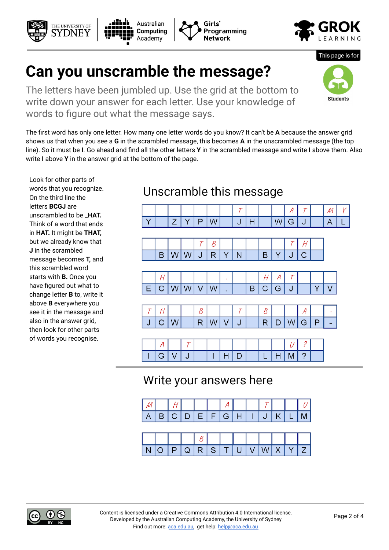#### Content is licensed under a Creative Commons [Attribution](https://creativecommons.org/licenses/by/4.0/) 4.0 International [license.](https://creativecommons.org/licenses/by/4.0/) Developed by the Australian Computing Academy, the University of Sydney Find out more: [aca.edu.au](http://aca.edu.au/), get help: [help@aca.edu.au](mailto:help@aca.edu.au)

# **Can you unscramble the message?**

The letters have been jumbled up. Use the grid at the bottom to write down your answer for each letter. Use your knowledge of words to figure out what the message says.

The first word has only one letter. How many one letter words do you know? It can't be **A** because the answer grid shows us that when you see a **G** in the scrambled message, this becomes **A** in the unscrambled message (the top line). So it must be **I**. Go ahead and find all the other letters **Y** in the scrambled message and write **I** above them. Also write **I** above **Y** in the answer grid at the bottom of the page.

Look for other parts of words that you recognize. On the third line the letters **BCGJ** are unscrambled to be \_**HAT.** Think of a word that ends in **HAT.** It might be **THAT,**  but we already know that **J** in the scrambled message becomes **T,** and this scrambled word starts with **B.** Once you have figured out what to change letter **B** to, write it above **B** everywhere you see it in the message and also in the answer grid, then look for other parts of words you recognise.

THE UNIVERSITY OF

### Unscramble this message

Programming

Network



## Write your answers here

|  |  |  | $\begin{bmatrix} \begin{bmatrix} \end{bmatrix} & \begin{bmatrix} \end{bmatrix} & \begin{bmatrix} \end{bmatrix} & \begin{bmatrix} \end{bmatrix} & \begin{bmatrix} \end{bmatrix} & \begin{bmatrix} \end{bmatrix} & \begin{bmatrix} \end{bmatrix} & \begin{bmatrix} \end{bmatrix} & \begin{bmatrix} \end{bmatrix} & \begin{bmatrix} \end{bmatrix} & \begin{bmatrix} \end{bmatrix} & \begin{bmatrix} \end{bmatrix} & \begin{bmatrix} \end{bmatrix} & \begin{bmatrix} \end{bmatrix} & \begin{bmatrix} \end{bmatrix} & \begin{bmatrix} \end{bmatrix} & \begin{bmatrix}$ |          |  |  |
|--|--|--|-------------------------------------------------------------------------------------------------------------------------------------------------------------------------------------------------------------------------------------------------------------------------------------------------------------------------------------------------------------------------------------------------------------------------------------------------------------------------------------------------------------------------------------------------------------------|----------|--|--|
|  |  |  | $A   B   C   D   E   F   G   H   I   J   K   L   M  $                                                                                                                                                                                                                                                                                                                                                                                                                                                                                                             |          |  |  |
|  |  |  |                                                                                                                                                                                                                                                                                                                                                                                                                                                                                                                                                                   |          |  |  |
|  |  |  |                                                                                                                                                                                                                                                                                                                                                                                                                                                                                                                                                                   |          |  |  |
|  |  |  | NOPQRSTUVWXYZ                                                                                                                                                                                                                                                                                                                                                                                                                                                                                                                                                     | <i>8</i> |  |  |







This page is for

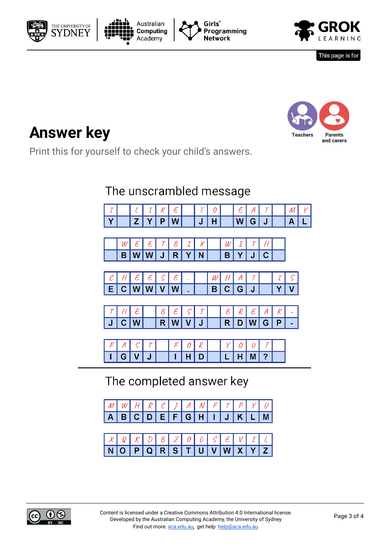







This page is for



# **Answer key**

Print this for yourself to check your child's answers.

## The unscrambled message

|  |  |   |   |   |  |          | -- |     |  |
|--|--|---|---|---|--|----------|----|-----|--|
|  |  | œ | ч | π |  | w<br>. . | ш  | . . |  |

|               | $\epsilon$ $\epsilon$ $\tau$ $\tau$ |  |  |         | $W$ $I$ $T$ |  |  |
|---------------|-------------------------------------|--|--|---------|-------------|--|--|
| B W W J R Y N |                                     |  |  | B Y J C |             |  |  |



|  | $T$ $H$ $\epsilon$ |  |         |  |  |  | $\Big \begin{array}{c c c c c} B & \mathcal{R} & \mathcal{E} & A & \mathcal{K} \end{array}\Big $ |  |
|--|--------------------|--|---------|--|--|--|--------------------------------------------------------------------------------------------------|--|
|  | J C W              |  | R W V J |  |  |  | R D W G P                                                                                        |  |

| L |  |  |     |  |       |  |  |
|---|--|--|-----|--|-------|--|--|
| L |  |  | . . |  | a Bar |  |  |

The completed answer key

| $M W H R C J A W F T P V U$                 |  |  |  |  |  |  |
|---------------------------------------------|--|--|--|--|--|--|
| ABCDEFGHIJKLM                               |  |  |  |  |  |  |
|                                             |  |  |  |  |  |  |
|                                             |  |  |  |  |  |  |
| $XQ K D B Z O G S E V I C$<br>NOPQRSTUVWXYZ |  |  |  |  |  |  |